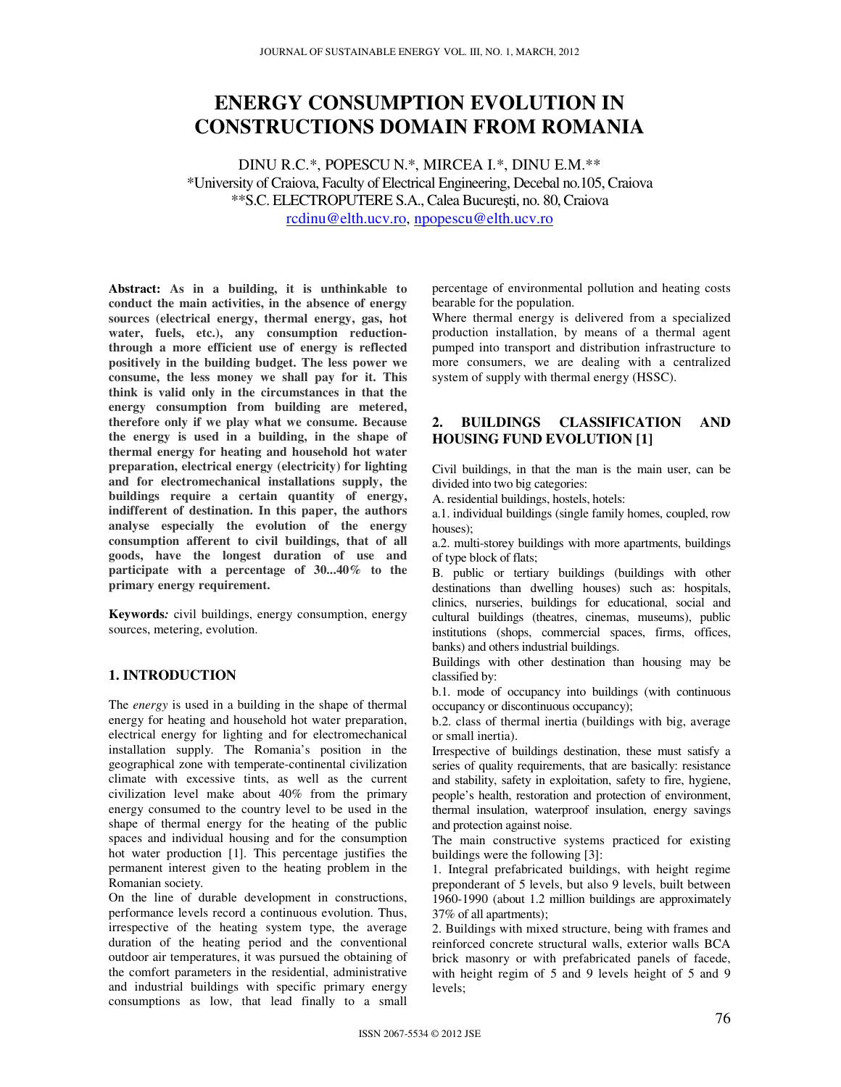# **ENERGY CONSUMPTION EVOLUTION IN CONSTRUCTIONS DOMAIN FROM ROMANIA**

DINU R.C.\*, POPESCU N.\*, MIRCEA I.\*, DINU E.M.\*\* \*University of Craiova, Faculty of Electrical Engineering, Decebal no.105, Craiova \*\*S.C. ELECTROPUTERE S.A., Calea Bucureşti, no. 80, Craiova rcdinu@elth.ucv.ro, npopescu@elth.ucv.ro

**Abstract: As in a building, it is unthinkable to conduct the main activities, in the absence of energy sources (electrical energy, thermal energy, gas, hot water, fuels, etc.), any consumption reductionthrough a more efficient use of energy is reflected positively in the building budget. The less power we consume, the less money we shall pay for it. This think is valid only in the circumstances in that the energy consumption from building are metered, therefore only if we play what we consume. Because the energy is used in a building, in the shape of thermal energy for heating and household hot water preparation, electrical energy (electricity) for lighting and for electromechanical installations supply, the buildings require a certain quantity of energy, indifferent of destination. In this paper, the authors analyse especially the evolution of the energy consumption afferent to civil buildings, that of all goods, have the longest duration of use and participate with a percentage of 30...40% to the primary energy requirement.** 

**Keywords***:* civil buildings, energy consumption, energy sources, metering, evolution.

### **1. INTRODUCTION**

The *energy* is used in a building in the shape of thermal energy for heating and household hot water preparation, electrical energy for lighting and for electromechanical installation supply. The Romania's position in the geographical zone with temperate-continental civilization climate with excessive tints, as well as the current civilization level make about 40% from the primary energy consumed to the country level to be used in the shape of thermal energy for the heating of the public spaces and individual housing and for the consumption hot water production [1]. This percentage justifies the permanent interest given to the heating problem in the Romanian society.

On the line of durable development in constructions, performance levels record a continuous evolution. Thus, irrespective of the heating system type, the average duration of the heating period and the conventional outdoor air temperatures, it was pursued the obtaining of the comfort parameters in the residential, administrative and industrial buildings with specific primary energy consumptions as low, that lead finally to a small percentage of environmental pollution and heating costs bearable for the population.

Where thermal energy is delivered from a specialized production installation, by means of a thermal agent pumped into transport and distribution infrastructure to more consumers, we are dealing with a centralized system of supply with thermal energy (HSSC).

## **2. BUILDINGS CLASSIFICATION AND HOUSING FUND EVOLUTION [1]**

Civil buildings, in that the man is the main user, can be divided into two big categories:

A. residential buildings, hostels, hotels:

a.1. individual buildings (single family homes, coupled, row houses);

a.2. multi-storey buildings with more apartments, buildings of type block of flats;

B. public or tertiary buildings (buildings with other destinations than dwelling houses) such as: hospitals, clinics, nurseries, buildings for educational, social and cultural buildings (theatres, cinemas, museums), public institutions (shops, commercial spaces, firms, offices, banks) and others industrial buildings.

Buildings with other destination than housing may be classified by:

b.1. mode of occupancy into buildings (with continuous occupancy or discontinuous occupancy);

b.2. class of thermal inertia (buildings with big, average or small inertia).

Irrespective of buildings destination, these must satisfy a series of quality requirements, that are basically: resistance and stability, safety in exploitation, safety to fire, hygiene, people's health, restoration and protection of environment, thermal insulation, waterproof insulation, energy savings and protection against noise.

The main constructive systems practiced for existing buildings were the following [3]:

1. Integral prefabricated buildings, with height regime preponderant of 5 levels, but also 9 levels, built between 1960-1990 (about 1.2 million buildings are approximately 37% of all apartments);

2. Buildings with mixed structure, being with frames and reinforced concrete structural walls, exterior walls BCA brick masonry or with prefabricated panels of facede, with height regim of 5 and 9 levels height of 5 and 9 levels;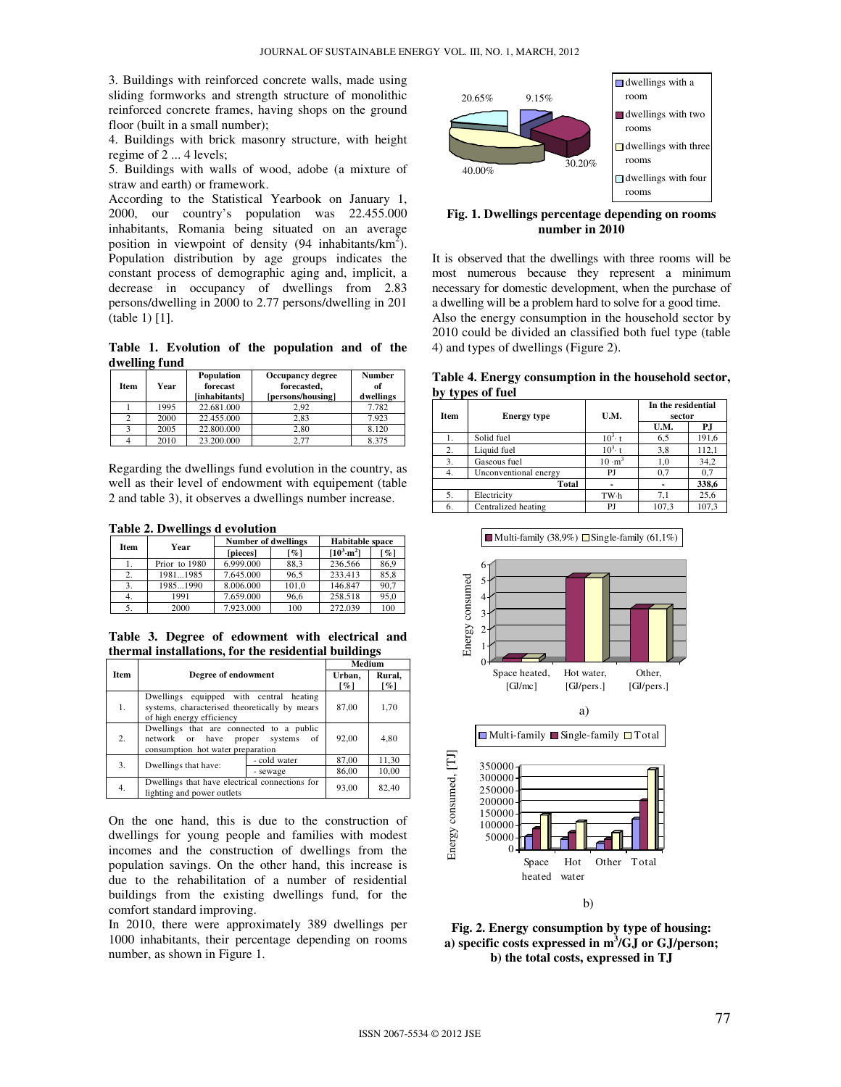3. Buildings with reinforced concrete walls, made using sliding formworks and strength structure of monolithic reinforced concrete frames, having shops on the ground floor (built in a small number);

4. Buildings with brick masonry structure, with height regime of 2 ... 4 levels;

5. Buildings with walls of wood, adobe (a mixture of straw and earth) or framework.

According to the Statistical Yearbook on January 1, 2000, our country's population was 22.455.000 inhabitants, Romania being situated on an average position in viewpoint of density (94 inhabitants/ $km^2$ ). Population distribution by age groups indicates the constant process of demographic aging and, implicit, a decrease in occupancy of dwellings from 2.83 persons/dwelling in 2000 to 2.77 persons/dwelling in 201 (table 1) [1].

**Table 1. Evolution of the population and of the dwelling fund** 

| Item | Year | <b>Population</b><br>forecast<br>[inhabitants] | Occupancy degree<br>forecasted,<br>[persons/housing] | <b>Number</b><br>of<br>dwellings |
|------|------|------------------------------------------------|------------------------------------------------------|----------------------------------|
|      | 1995 | 22.681.000                                     | 2.92                                                 | 7.782                            |
|      | 2000 | 22.455.000                                     | 2.83                                                 | 7.923                            |
|      | 2005 | 22.800.000                                     | 2.80                                                 | 8.120                            |
|      | 2010 | 23.200.000                                     | 2.77                                                 | 8.375                            |

Regarding the dwellings fund evolution in the country, as well as their level of endowment with equipement (table 2 and table 3), it observes a dwellings number increase.

| <b>Table 2. Dwellings d evolution</b> |      |               |                            |                    |                        |                    |
|---------------------------------------|------|---------------|----------------------------|--------------------|------------------------|--------------------|
|                                       |      | Year          | <b>Number of dwellings</b> |                    | <b>Habitable</b> space |                    |
|                                       | Item |               | [pieces]                   | $\lceil \% \rceil$ | $[10^3 \cdot m^2]$     | $\lceil \% \rceil$ |
|                                       |      | Prior to 1980 | 6.999.000                  | 88.3               | 236.566                | 86.9               |
|                                       | 2.   | 19811985      | 7.645.000                  | 96.5               | 233.413                | 85,8               |
|                                       | 3.   | 19851990      | 8.006.000                  | 101,0              | 146.847                | 90.7               |
|                                       | 4.   | 1991          | 7.659.000                  | 96.6               | 258.518                | 95,0               |
|                                       |      | 2000          | 7.923.000                  | 100                | 272.039                | 100                |

**Table 3. Degree of edowment with electrical and thermal installations, for the residential buildings** 

|             | Degree of endowment                                                                                                      |              | Medium                       |                              |
|-------------|--------------------------------------------------------------------------------------------------------------------------|--------------|------------------------------|------------------------------|
| <b>Item</b> |                                                                                                                          |              | Urban,<br>$\lceil \% \rceil$ | Rural,<br>$\lceil \% \rceil$ |
| 1.          | Dwellings equipped with central<br>systems, characterised theoretically by mears<br>of high energy efficiency            | 87,00        | 1,70                         |                              |
| 2.          | Dwellings that are connected to a public<br>network or have<br>proper systems<br>of<br>consumption hot water preparation |              | 92,00                        | 4.80                         |
| 3.          | Dwellings that have:                                                                                                     | - cold water | 87,00                        | 11,30                        |
|             | - sewage                                                                                                                 |              | 86,00                        | 10,00                        |
| 4.          | Dwellings that have electrical connections for<br>lighting and power outlets                                             |              | 93,00                        | 82,40                        |

On the one hand, this is due to the construction of dwellings for young people and families with modest incomes and the construction of dwellings from the population savings. On the other hand, this increase is due to the rehabilitation of a number of residential buildings from the existing dwellings fund, for the comfort standard improving.

In 2010, there were approximately 389 dwellings per 1000 inhabitants, their percentage depending on rooms number, as shown in Figure 1.



**Fig. 1. Dwellings percentage depending on rooms number in 2010** 

It is observed that the dwellings with three rooms will be most numerous because they represent a minimum necessary for domestic development, when the purchase of a dwelling will be a problem hard to solve for a good time. Also the energy consumption in the household sector by 2010 could be divided an classified both fuel type (table 4) and types of dwellings (Figure 2).

**Table 4. Energy consumption in the household sector, by types of fuel** 

| Item | <b>Energy type</b>    | U.M.           | In the residential<br>sector |       |
|------|-----------------------|----------------|------------------------------|-------|
|      |                       |                | U.M.                         | P.J   |
| 1.   | Solid fuel            | $10^3$ t       | 6,5                          | 191,6 |
| 2.   | Liquid fuel           | $10^3$ t       | 3,8                          | 112,1 |
| 3.   | Gaseous fuel          | $10 \cdot m^3$ | 1,0                          | 34,2  |
| 4.   | Unconventional energy | PJ             | 0.7                          | 0.7   |
|      | Total                 |                |                              | 338,6 |
| 5.   | Electricity           | TW-h           | 7.1                          | 25,6  |
| 6.   | Centralized heating   | РJ             | 107,3                        | 107,3 |



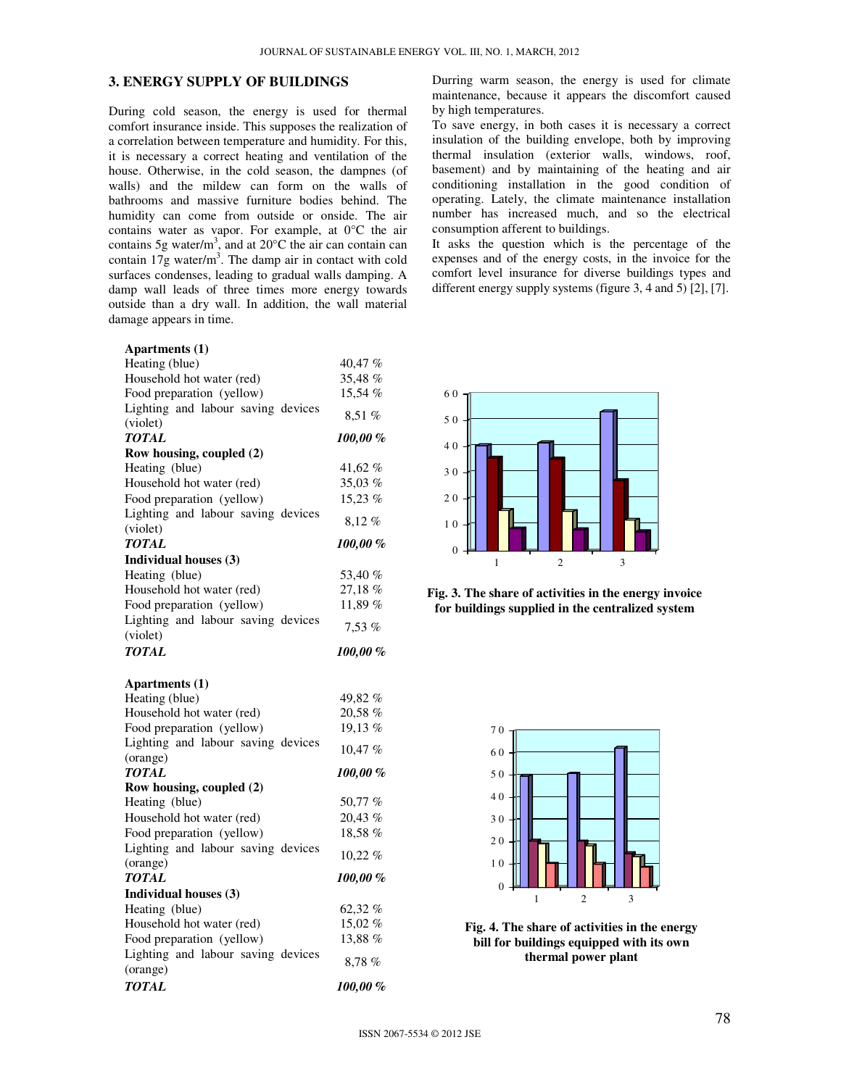### **3. ENERGY SUPPLY OF BUILDINGS**

During cold season, the energy is used for thermal comfort insurance inside. This supposes the realization of a correlation between temperature and humidity. For this, it is necessary a correct heating and ventilation of the house. Otherwise, in the cold season, the dampnes (of walls) and the mildew can form on the walls of bathrooms and massive furniture bodies behind. The humidity can come from outside or onside. The air contains water as vapor. For example, at 0°C the air contains 5g water/ $m<sup>3</sup>$ , and at 20 $\degree$ C the air can contain can contain  $17g$  water/ $m<sup>3</sup>$ . The damp air in contact with cold surfaces condenses, leading to gradual walls damping. A damp wall leads of three times more energy towards outside than a dry wall. In addition, the wall material damage appears in time.

| <b>Apartments (1)</b>                          |              |
|------------------------------------------------|--------------|
| Heating (blue)                                 | 40,47 %      |
| Household hot water (red)                      | 35,48 %      |
| Food preparation (yellow)                      | 15,54 %      |
| Lighting and labour saving devices             | 8,51 %       |
| (violet)                                       |              |
| TOTAL                                          | $100,00\ \%$ |
| Row housing, coupled (2)                       |              |
| Heating (blue)                                 | 41,62 %      |
| Household hot water (red)                      | 35,03 %      |
| Food preparation (yellow)                      | 15,23 %      |
| Lighting and labour saving devices<br>(violet) | 8,12%        |
| <b>TOTAL</b>                                   | $100,00\%$   |
| Individual houses (3)                          |              |
| Heating (blue)                                 | 53,40 %      |
| Household hot water (red)                      | 27,18 %      |
| Food preparation (yellow)                      | 11,89 %      |
| Lighting and labour saving devices             |              |
| (violet)                                       | $7,53\%$     |
| <b>TOTAL</b>                                   | 100,00 %     |
|                                                |              |
|                                                |              |
| <b>Apartments (1)</b>                          |              |
| Heating (blue)                                 | 49,82%       |
| Household hot water (red)                      | 20,58 %      |
| Food preparation (yellow)                      | 19,13%       |
| Lighting and labour saving devices             | 10,47 %      |
| (orange)<br><b>TOTAL</b>                       | 100,00 %     |
| Row housing, coupled (2)                       |              |
| Heating (blue)                                 | 50,77 %      |
| Household hot water (red)                      | 20,43 %      |
| Food preparation (yellow)                      | 18,58 %      |
| Lighting and labour saving devices             |              |
| (orange)                                       | $10,22\%$    |
| <b>TOTAL</b>                                   | 100,00 %     |
| Individual houses (3)                          |              |
| Heating (blue)                                 | 62,32%       |
| Household hot water (red)                      | 15,02 %      |
| Food preparation (yellow)                      | 13,88 %      |
| Lighting and labour saving devices<br>(orange) | 8,78 %       |

*TOTAL 100,00 %*

Durring warm season, the energy is used for climate maintenance, because it appears the discomfort caused by high temperatures.

To save energy, in both cases it is necessary a correct insulation of the building envelope, both by improving thermal insulation (exterior walls, windows, roof, basement) and by maintaining of the heating and air conditioning installation in the good condition of operating. Lately, the climate maintenance installation number has increased much, and so the electrical consumption afferent to buildings.

It asks the question which is the percentage of the expenses and of the energy costs, in the invoice for the comfort level insurance for diverse buildings types and different energy supply systems (figure 3, 4 and 5) [2], [7].



**Fig. 3. The share of activities in the energy invoice for buildings supplied in the centralized system** 



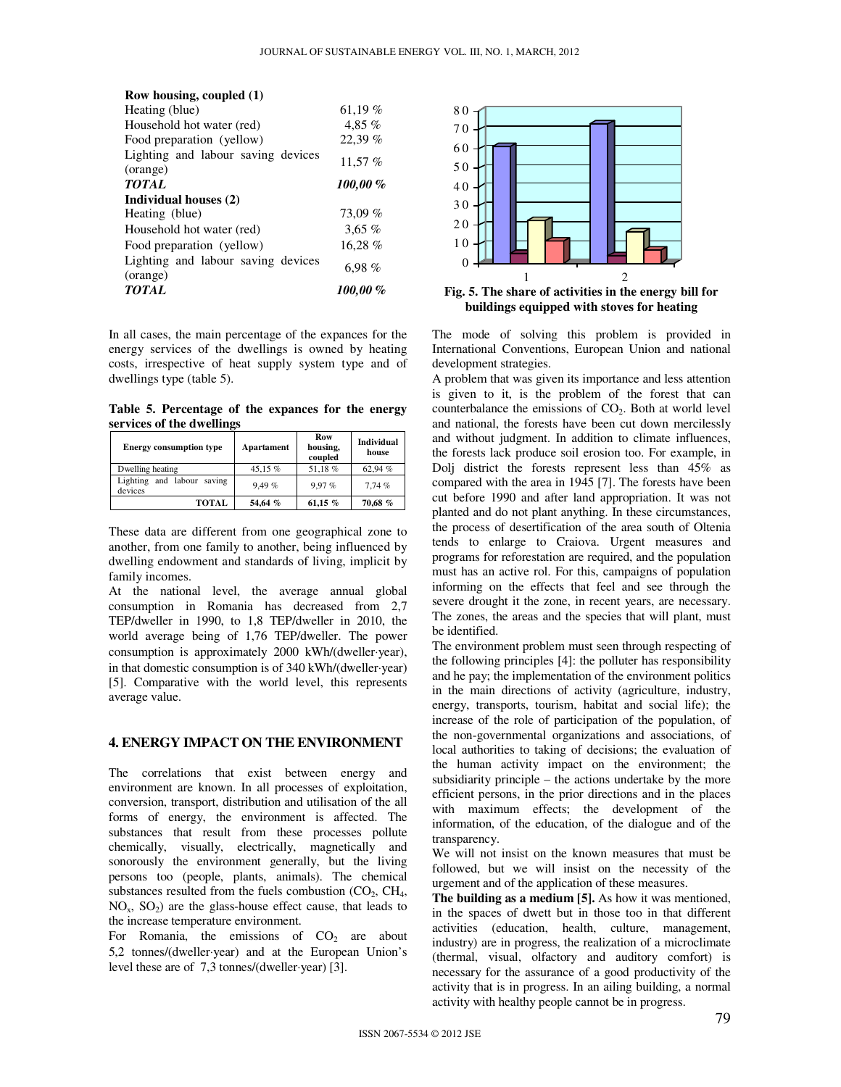| Row housing, coupled (1)                       |           |
|------------------------------------------------|-----------|
| Heating (blue)                                 | 61,19 %   |
| Household hot water (red)                      | 4,85 %    |
| Food preparation (yellow)                      | 22.39 %   |
| Lighting and labour saving devices             | 11,57%    |
| (orange)                                       |           |
| <b>TOTAL</b>                                   | 100,00 %  |
| Individual houses (2)                          |           |
| Heating (blue)                                 | 73,09 %   |
| Household hot water (red)                      | 3,65%     |
| Food preparation (yellow)                      | $16.28\%$ |
| Lighting and labour saving devices<br>(orange) | 6.98 $%$  |
|                                                |           |

In all cases, the main percentage of the expances for the energy services of the dwellings is owned by heating costs, irrespective of heat supply system type and of dwellings type (table 5).

**Table 5. Percentage of the expances for the energy services of the dwellings** 

| <b>Energy consumption type</b>           | <b>Apartament</b> | Row<br>housing,<br>coupled | <b>Individual</b><br>house |
|------------------------------------------|-------------------|----------------------------|----------------------------|
| Dwelling heating                         | 45.15 %           | 51.18%                     | 62.94%                     |
| Lighting and labour<br>saving<br>devices | 9.49%             | 9.97%                      | 7,74%                      |
| TOTAL                                    | 54,64 %           | 61,15 $%$                  | 70,68 %                    |

These data are different from one geographical zone to another, from one family to another, being influenced by dwelling endowment and standards of living, implicit by family incomes.

At the national level, the average annual global consumption in Romania has decreased from 2,7 TEP/dweller in 1990, to 1,8 TEP/dweller in 2010, the world average being of 1,76 TEP/dweller. The power consumption is approximately 2000 kWh/(dweller⋅year), in that domestic consumption is of 340 kWh/(dweller⋅year) [5]. Comparative with the world level, this represents average value.

### **4. ENERGY IMPACT ON THE ENVIRONMENT**

The correlations that exist between energy and environment are known. In all processes of exploitation, conversion, transport, distribution and utilisation of the all forms of energy, the environment is affected. The substances that result from these processes pollute chemically, visually, electrically, magnetically and sonorously the environment generally, but the living persons too (people, plants, animals). The chemical substances resulted from the fuels combustion  $(CO_2, CH_4,$  $NO<sub>x</sub>$ ,  $SO<sub>2</sub>$ ) are the glass-house effect cause, that leads to the increase temperature environment.

For Romania, the emissions of  $CO<sub>2</sub>$  are about 5,2 tonnes/(dweller⋅year) and at the European Union's level these are of 7,3 tonnes/(dweller⋅year) [3].



**Fig. 5. The share of activities in the energy bill for buildings equipped with stoves for heating** 

The mode of solving this problem is provided in International Conventions, European Union and national development strategies.

A problem that was given its importance and less attention is given to it, is the problem of the forest that can counterbalance the emissions of  $CO<sub>2</sub>$ . Both at world level and national, the forests have been cut down mercilessly and without judgment. In addition to climate influences, the forests lack produce soil erosion too. For example, in Dolj district the forests represent less than 45% as compared with the area in 1945 [7]. The forests have been cut before 1990 and after land appropriation. It was not planted and do not plant anything. In these circumstances, the process of desertification of the area south of Oltenia tends to enlarge to Craiova. Urgent measures and programs for reforestation are required, and the population must has an active rol. For this, campaigns of population informing on the effects that feel and see through the severe drought it the zone, in recent years, are necessary. The zones, the areas and the species that will plant, must be identified.

The environment problem must seen through respecting of the following principles [4]: the polluter has responsibility and he pay; the implementation of the environment politics in the main directions of activity (agriculture, industry, energy, transports, tourism, habitat and social life); the increase of the role of participation of the population, of the non-governmental organizations and associations, of local authorities to taking of decisions; the evaluation of the human activity impact on the environment; the subsidiarity principle – the actions undertake by the more efficient persons, in the prior directions and in the places with maximum effects; the development of the information, of the education, of the dialogue and of the transparency.

We will not insist on the known measures that must be followed, but we will insist on the necessity of the urgement and of the application of these measures.

**The building as a medium [5].** As how it was mentioned, in the spaces of dwett but in those too in that different activities (education, health, culture, management, industry) are in progress, the realization of a microclimate (thermal, visual, olfactory and auditory comfort) is necessary for the assurance of a good productivity of the activity that is in progress. In an ailing building, a normal activity with healthy people cannot be in progress.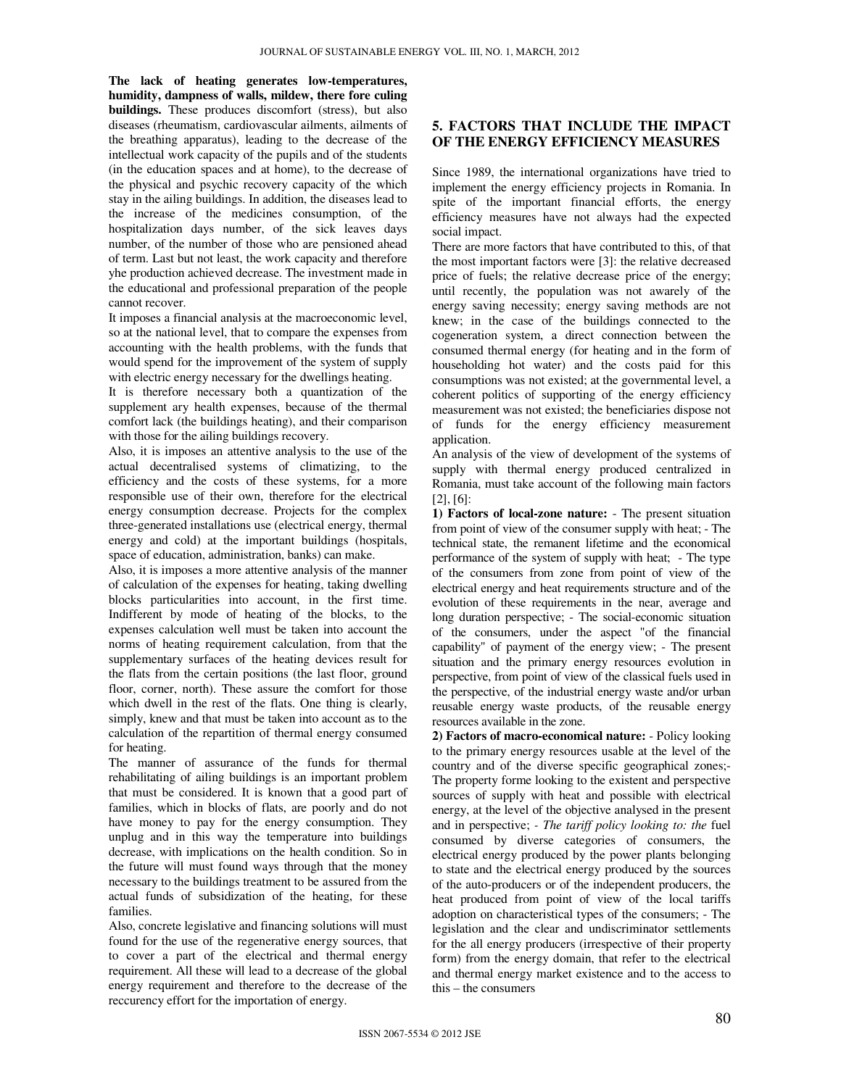**The lack of heating generates low-temperatures, humidity, dampness of walls, mildew, there fore culing buildings.** These produces discomfort (stress), but also diseases (rheumatism, cardiovascular ailments, ailments of the breathing apparatus), leading to the decrease of the intellectual work capacity of the pupils and of the students (in the education spaces and at home), to the decrease of the physical and psychic recovery capacity of the which stay in the ailing buildings. In addition, the diseases lead to the increase of the medicines consumption, of the hospitalization days number, of the sick leaves days number, of the number of those who are pensioned ahead of term. Last but not least, the work capacity and therefore yhe production achieved decrease. The investment made in the educational and professional preparation of the people cannot recover.

It imposes a financial analysis at the macroeconomic level, so at the national level, that to compare the expenses from accounting with the health problems, with the funds that would spend for the improvement of the system of supply with electric energy necessary for the dwellings heating.

It is therefore necessary both a quantization of the supplement ary health expenses, because of the thermal comfort lack (the buildings heating), and their comparison with those for the ailing buildings recovery.

Also, it is imposes an attentive analysis to the use of the actual decentralised systems of climatizing, to the efficiency and the costs of these systems, for a more responsible use of their own, therefore for the electrical energy consumption decrease. Projects for the complex three-generated installations use (electrical energy, thermal energy and cold) at the important buildings (hospitals, space of education, administration, banks) can make.

Also, it is imposes a more attentive analysis of the manner of calculation of the expenses for heating, taking dwelling blocks particularities into account, in the first time. Indifferent by mode of heating of the blocks, to the expenses calculation well must be taken into account the norms of heating requirement calculation, from that the supplementary surfaces of the heating devices result for the flats from the certain positions (the last floor, ground floor, corner, north). These assure the comfort for those which dwell in the rest of the flats. One thing is clearly, simply, knew and that must be taken into account as to the calculation of the repartition of thermal energy consumed for heating.

The manner of assurance of the funds for thermal rehabilitating of ailing buildings is an important problem that must be considered. It is known that a good part of families, which in blocks of flats, are poorly and do not have money to pay for the energy consumption. They unplug and in this way the temperature into buildings decrease, with implications on the health condition. So in the future will must found ways through that the money necessary to the buildings treatment to be assured from the actual funds of subsidization of the heating, for these families.

Also, concrete legislative and financing solutions will must found for the use of the regenerative energy sources, that to cover a part of the electrical and thermal energy requirement. All these will lead to a decrease of the global energy requirement and therefore to the decrease of the reccurency effort for the importation of energy.

# **5. FACTORS THAT INCLUDE THE IMPACT OF THE ENERGY EFFICIENCY MEASURES**

Since 1989, the international organizations have tried to implement the energy efficiency projects in Romania. In spite of the important financial efforts, the energy efficiency measures have not always had the expected social impact.

There are more factors that have contributed to this, of that the most important factors were [3]: the relative decreased price of fuels; the relative decrease price of the energy; until recently, the population was not awarely of the energy saving necessity; energy saving methods are not knew; in the case of the buildings connected to the cogeneration system, a direct connection between the consumed thermal energy (for heating and in the form of householding hot water) and the costs paid for this consumptions was not existed; at the governmental level, a coherent politics of supporting of the energy efficiency measurement was not existed; the beneficiaries dispose not of funds for the energy efficiency measurement application.

An analysis of the view of development of the systems of supply with thermal energy produced centralized in Romania, must take account of the following main factors [2], [6]:

**1) Factors of local-zone nature:** - The present situation from point of view of the consumer supply with heat; - The technical state, the remanent lifetime and the economical performance of the system of supply with heat; - The type of the consumers from zone from point of view of the electrical energy and heat requirements structure and of the evolution of these requirements in the near, average and long duration perspective; - The social-economic situation of the consumers, under the aspect "of the financial capability" of payment of the energy view; - The present situation and the primary energy resources evolution in perspective, from point of view of the classical fuels used in the perspective, of the industrial energy waste and/or urban reusable energy waste products, of the reusable energy resources available in the zone.

**2) Factors of macro-economical nature:** - Policy looking to the primary energy resources usable at the level of the country and of the diverse specific geographical zones;- The property forme looking to the existent and perspective sources of supply with heat and possible with electrical energy, at the level of the objective analysed in the present and in perspective; *- The tariff policy looking to: the* fuel consumed by diverse categories of consumers, the electrical energy produced by the power plants belonging to state and the electrical energy produced by the sources of the auto-producers or of the independent producers, the heat produced from point of view of the local tariffs adoption on characteristical types of the consumers; - The legislation and the clear and undiscriminator settlements for the all energy producers (irrespective of their property form) from the energy domain, that refer to the electrical and thermal energy market existence and to the access to this – the consumers